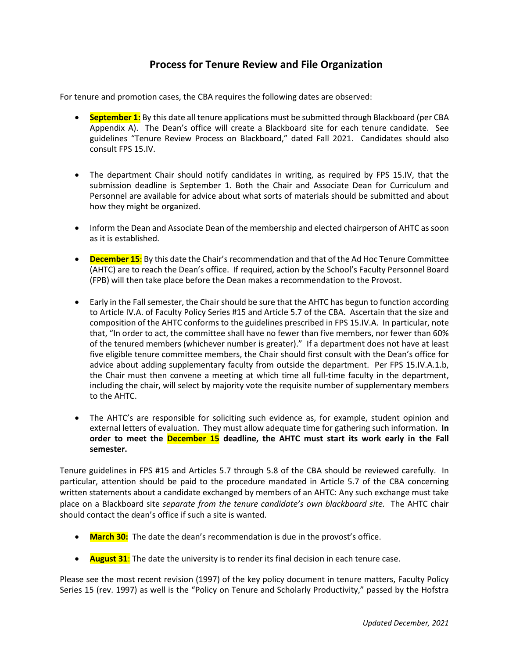# **Process for Tenure Review and File Organization**

For tenure and promotion cases, the CBA requires the following dates are observed:

- **September 1:** By this date all tenure applications must be submitted through Blackboard (per CBA Appendix A). The Dean's office will create a Blackboard site for each tenure candidate. See guidelines "Tenure Review Process on Blackboard," dated Fall 2021. Candidates should also consult FPS 15.IV.
- The department Chair should notify candidates in writing, as required by FPS 15.IV, that the submission deadline is September 1. Both the Chair and Associate Dean for Curriculum and Personnel are available for advice about what sorts of materials should be submitted and about how they might be organized.
- Inform the Dean and Associate Dean of the membership and elected chairperson of AHTC as soon as it is established.
- **December 15:** By this date the Chair's recommendation and that of the Ad Hoc Tenure Committee (AHTC) are to reach the Dean's office. If required, action by the School's Faculty Personnel Board (FPB) will then take place before the Dean makes a recommendation to the Provost.
- Early in the Fall semester, the Chair should be sure that the AHTC has begun to function according to Article IV.A. of Faculty Policy Series #15 and Article 5.7 of the CBA. Ascertain that the size and composition of the AHTC conforms to the guidelines prescribed in FPS 15.IV.A. In particular, note that, "In order to act, the committee shall have no fewer than five members, nor fewer than 60% of the tenured members (whichever number is greater)." If a department does not have at least five eligible tenure committee members, the Chair should first consult with the Dean's office for advice about adding supplementary faculty from outside the department. Per FPS 15.IV.A.1.b, the Chair must then convene a meeting at which time all full-time faculty in the department, including the chair, will select by majority vote the requisite number of supplementary members to the AHTC.
- The AHTC's are responsible for soliciting such evidence as, for example, student opinion and external letters of evaluation. They must allow adequate time for gathering such information. **In order to meet the December 15 deadline, the AHTC must start its work early in the Fall semester.**

Tenure guidelines in FPS #15 and Articles 5.7 through 5.8 of the CBA should be reviewed carefully. In particular, attention should be paid to the procedure mandated in Article 5.7 of the CBA concerning written statements about a candidate exchanged by members of an AHTC: Any such exchange must take place on a Blackboard site *separate from the tenure candidate's own blackboard site.* The AHTC chair should contact the dean's office if such a site is wanted.

- **March 30:** The date the dean's recommendation is due in the provost's office.
- **August 31**: The date the university is to render its final decision in each tenure case.

Please see the most recent revision (1997) of the key policy document in tenure matters, Faculty Policy Series 15 (rev. 1997) as well is the "Policy on Tenure and Scholarly Productivity," passed by the Hofstra